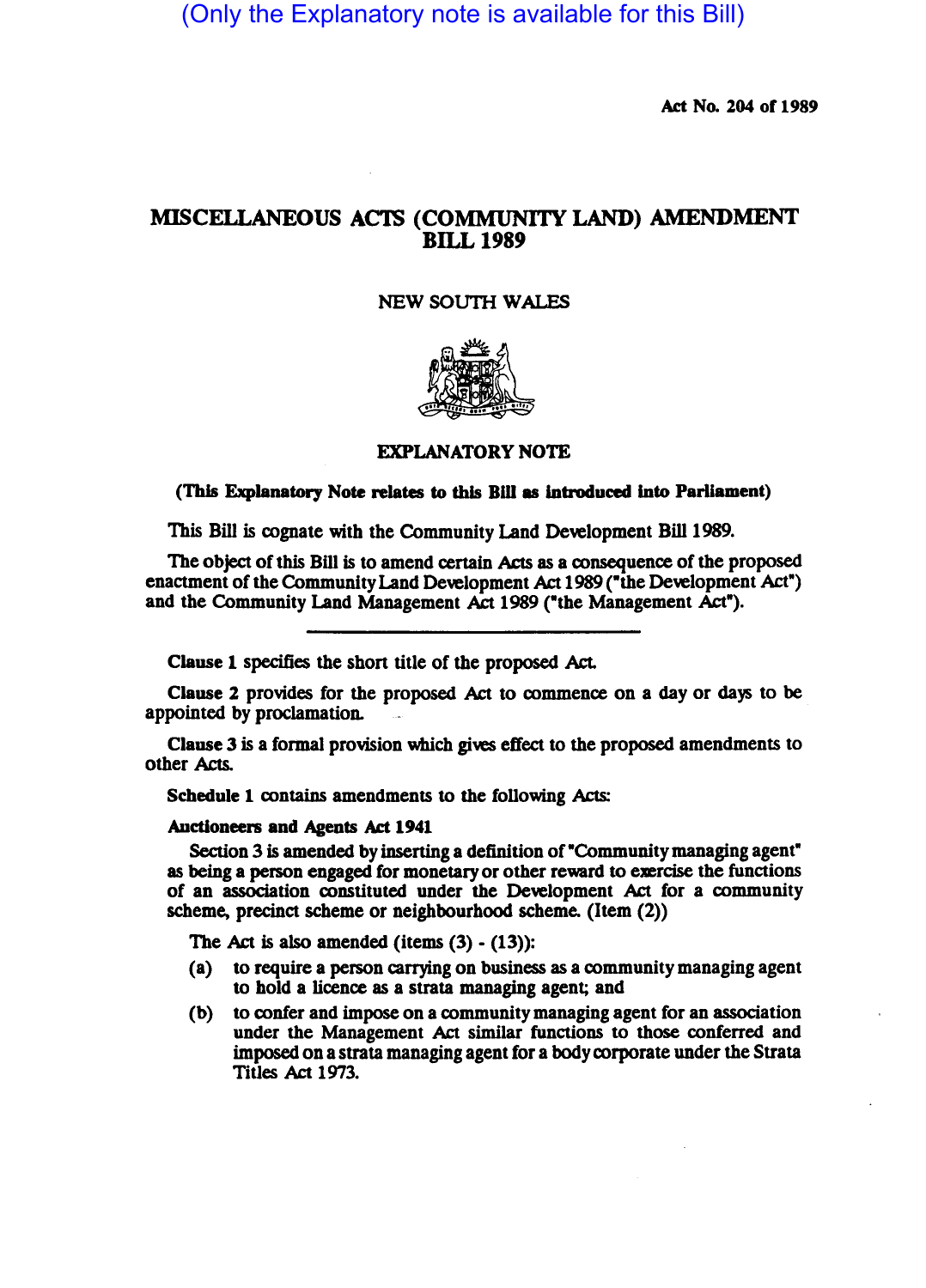(Only the Explanatory note is available for this Bill)

Act No. 204 of 1989

# MISCELLANEOUS ACTS (COMMUNITY LAND) AMENDMENT BILL 1989

## **NEW SOUTH WALES**



## EXPLANATORY NOTE

(This Explanatory Note relates to this Bill as introduced into Parliament)

This Bill is cognate with the Community Land Development Bill 1989.

The object of this Bill is to amend certain Acts as a consequence of the proposed enactment of the Community Land Development Act 1989 ("the Development Act") and the Community Land Management Act 1989 ("the Management Act").

Clause 1 specifies the short title of the proposed Act.

Clause 2 provides for the proposed Act to commence on a day or days to be appointed by proclamation.

Clause 3 is a formal provision which gives effect to the proposed amendments to other Acts.

Schedule 1 contains amendments to the following Acts:

#### Auctioneers and Agents Act 1941

Section 3 is amended by inserting a definition of "Community managing agent" as being a person engaged for monetary or other reward to exercise the functions of an association constituted under the Development Act for a community scheme, precinct scheme or neighbourhood scheme. (Item (2))

The Act is also amended (items  $(3) - (13)$ ):

- (a) to require a person carrying on business as a community managing agent to hold a licence as a strata managing agent; and
- (b) to confer and impose on a community managing agent for an association under the Management Act similar functions to those conferred and imposed on a strata managing agent for a body corporate under the Strata Titles Act 1973.